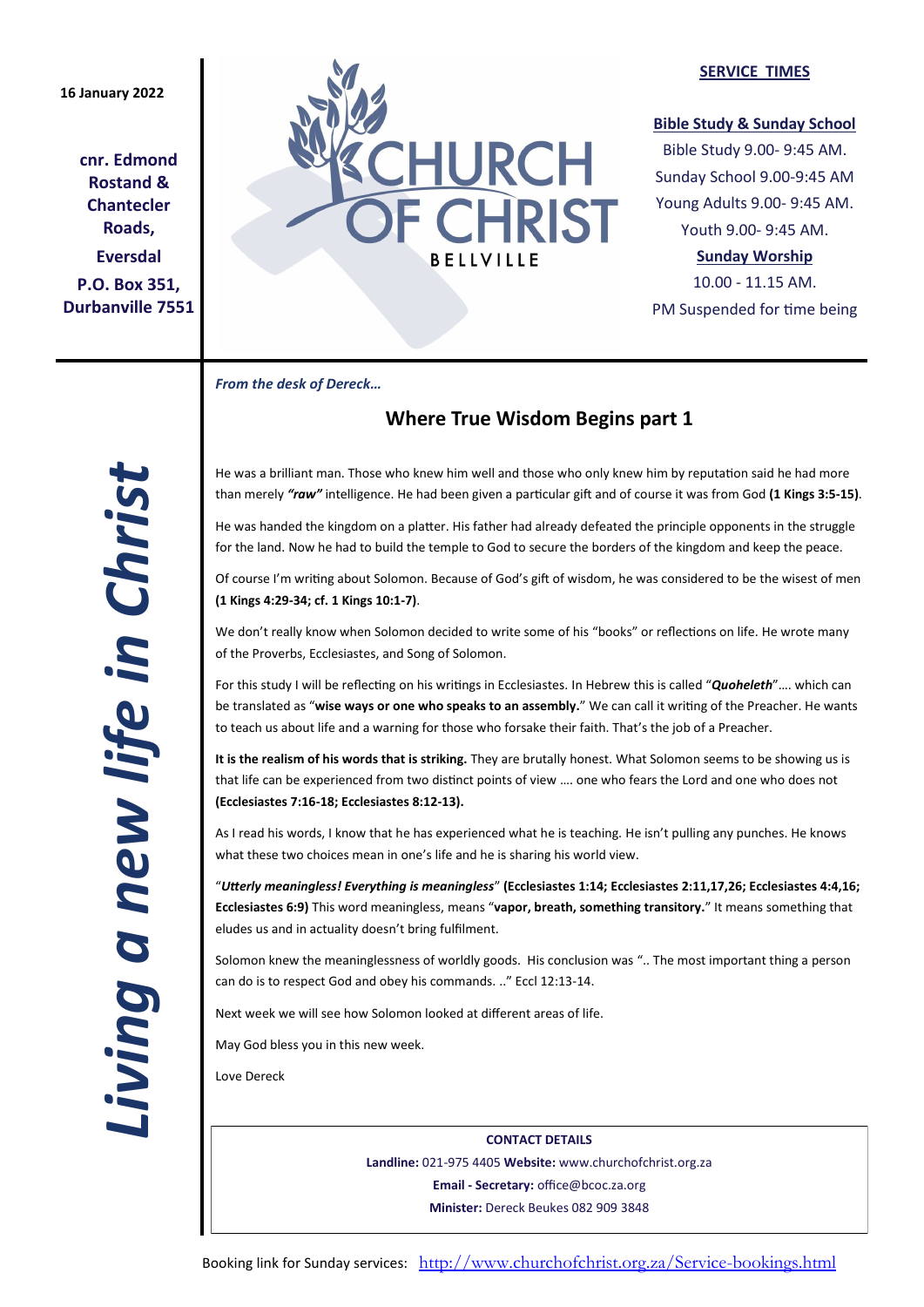## **16 January 2022**

**cnr. Edmond Rostand & Chantecler Roads, Eversdal P.O. Box 351, Durbanville 7551**



#### **SERVICE TIMES**

### **Bible Study & Sunday School**

Bible Study 9.00- 9:45 AM. Sunday School 9.00-9:45 AM Young Adults 9.00- 9:45 AM. Youth 9.00- 9:45 AM.

## **Sunday Worship**

10.00 - 11.15 AM. PM Suspended for time being

*From the desk of Dereck…* 

# **Where True Wisdom Begins part 1**

He was a brilliant man. Those who knew him well and those who only knew him by reputation said he had more than merely *"raw"* intelligence. He had been given a particular gift and of course it was from God **(1 Kings 3:5-15)**.

He was handed the kingdom on a platter. His father had already defeated the principle opponents in the struggle for the land. Now he had to build the temple to God to secure the borders of the kingdom and keep the peace.

Of course I'm writing about Solomon. Because of God's gift of wisdom, he was considered to be the wisest of men **(1 Kings 4:29-34; cf. 1 Kings 10:1-7)**.

We don't really know when Solomon decided to write some of his "books" or reflections on life. He wrote many of the Proverbs, Ecclesiastes, and Song of Solomon.

For this study I will be reflecting on his writings in Ecclesiastes. In Hebrew this is called "*Quoheleth*"…. which can be translated as "**wise ways or one who speaks to an assembly.**" We can call it writing of the Preacher. He wants to teach us about life and a warning for those who forsake their faith. That's the job of a Preacher.

**It is the realism of his words that is striking.** They are brutally honest. What Solomon seems to be showing us is that life can be experienced from two distinct points of view …. one who fears the Lord and one who does not **(Ecclesiastes 7:16-18; Ecclesiastes 8:12-13).**

As I read his words, I know that he has experienced what he is teaching. He isn't pulling any punches. He knows what these two choices mean in one's life and he is sharing his world view.

"*Utterly meaningless! Everything is meaningless*" **(Ecclesiastes 1:14; Ecclesiastes 2:11,17,26; Ecclesiastes 4:4,16; Ecclesiastes 6:9)** This word meaningless, means "**vapor, breath, something transitory.**" It means something that eludes us and in actuality doesn't bring fulfilment.

Solomon knew the meaninglessness of worldly goods. His conclusion was ".. The most important thing a person can do is to respect God and obey his commands. .." Eccl 12:13-14.

Next week we will see how Solomon looked at different areas of life.

May God bless you in this new week.

Love Dereck

**CONTACT DETAILS Landline:** 021-975 4405 **Website:** www.churchofchrist.org.za **Email - Secretary:** office@bcoc.za.org **Minister:** Dereck Beukes 082 909 3848